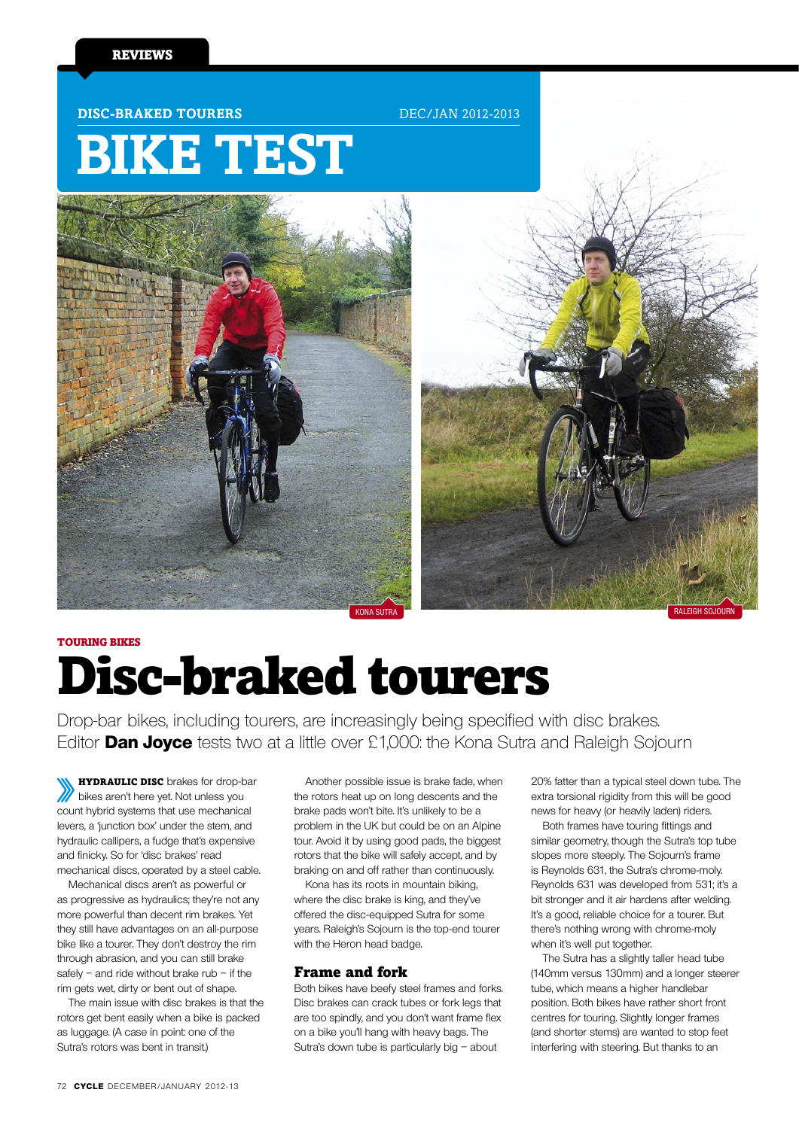#### **DISC-BRAKED TOURERS** DEC/JAN 2012-2013

# **Bike Test**





## touring bikes Disc-braked tourers

Drop-bar bikes, including tourers, are increasingly being specified with disc brakes. Editor **Dan Joyce** tests two at a little over £1,000: the Kona Sutra and Raleigh Sojourn

**HYDRAULIC DISC** brakes for drop-bar bikes aren't here yet. Not unless you count hybrid systems that use mechanical levers, a 'junction box' under the stem, and hydraulic callipers, a fudge that's expensive and finicky. So for 'disc brakes' read mechanical discs, operated by a steel cable.

Mechanical discs aren't as powerful or as progressive as hydraulics; they're not any more powerful than decent rim brakes. Yet they still have advantages on an all-purpose bike like a tourer. They don't destroy the rim through abrasion, and you can still brake safely – and ride without brake  $rub - if$  the rim gets wet, dirty or bent out of shape.

The main issue with disc brakes is that the rotors get bent easily when a bike is packed as luggage. (A case in point: one of the Sutra's rotors was bent in transit.)

Another possible issue is brake fade, when the rotors heat up on long descents and the brake pads won't bite. It's unlikely to be a problem in the UK but could be on an Alpine tour. Avoid it by using good pads, the biggest rotors that the bike will safely accept, and by braking on and off rather than continuously.

Kona has its roots in mountain biking, where the disc brake is king, and they've offered the disc-equipped Sutra for some years. Raleigh's Sojourn is the top-end tourer with the Heron head badge.

#### Frame and fork

Both bikes have beefy steel frames and forks. Disc brakes can crack tubes or fork legs that are too spindly, and you don't want frame flex on a bike you'll hang with heavy bags. The Sutra's down tube is particularly big – about

20% fatter than a typical steel down tube. The extra torsional rigidity from this will be good news for heavy (or heavily laden) riders.

Both frames have touring fittings and similar geometry, though the Sutra's top tube slopes more steeply. The Sojourn's frame is Reynolds 631, the Sutra's chrome-moly. Reynolds 631 was developed from 531; it's a bit stronger and it air hardens after welding. It's a good, reliable choice for a tourer. But there's nothing wrong with chrome-moly when it's well put together.

The Sutra has a slightly taller head tube (140mm versus 130mm) and a longer steerer tube, which means a higher handlebar position. Both bikes have rather short front centres for touring. Slightly longer frames (and shorter stems) are wanted to stop feet interfering with steering. But thanks to an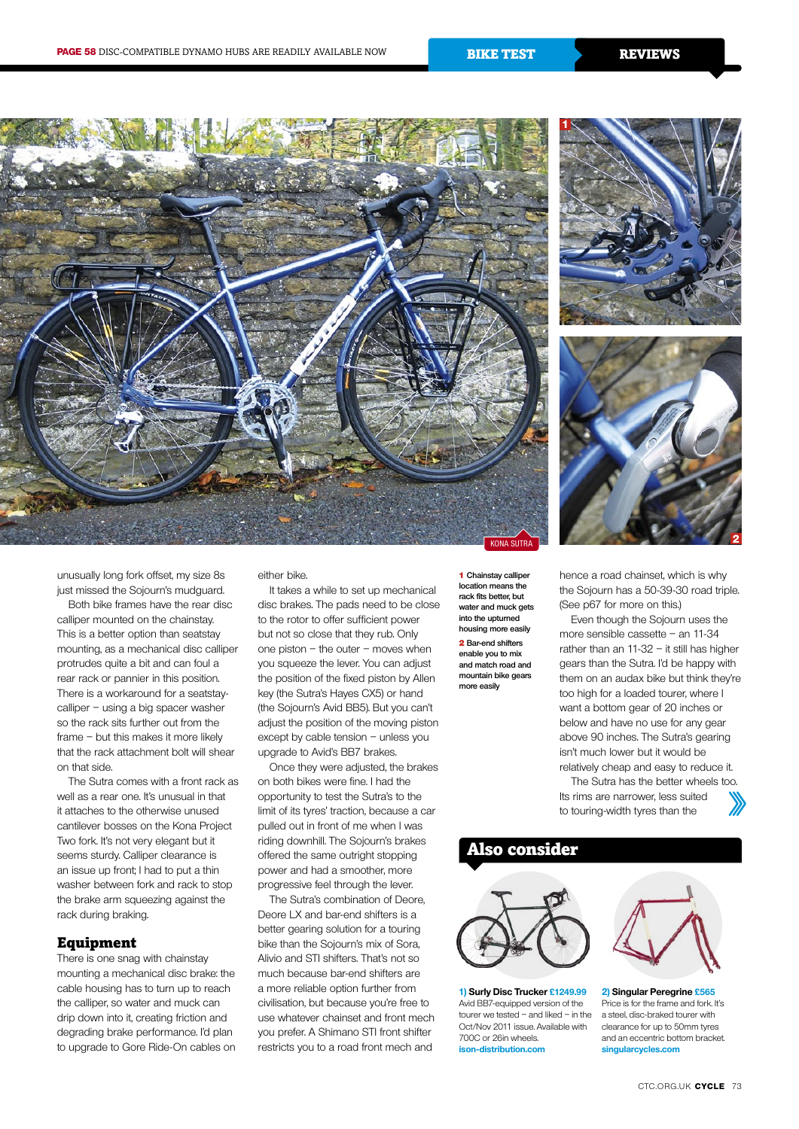





unusually long fork offset, my size 8s just missed the Sojourn's mudguard.

Both bike frames have the rear disc calliper mounted on the chainstay. This is a better option than seatstay mounting, as a mechanical disc calliper protrudes quite a bit and can foul a rear rack or pannier in this position. There is a workaround for a seatstaycalliper – using a big spacer washer so the rack sits further out from the frame – but this makes it more likely that the rack attachment bolt will shear on that side.

The Sutra comes with a front rack as well as a rear one. It's unusual in that it attaches to the otherwise unused cantilever bosses on the Kona Project Two fork. It's not very elegant but it seems sturdy. Calliper clearance is an issue up front; I had to put a thin washer between fork and rack to stop the brake arm squeezing against the rack during braking.

#### Equipment

There is one snag with chainstay mounting a mechanical disc brake: the cable housing has to turn up to reach the calliper, so water and muck can drip down into it, creating friction and degrading brake performance. I'd plan to upgrade to Gore Ride-On cables on either bike.

It takes a while to set up mechanical disc brakes. The pads need to be close to the rotor to offer sufficient power but not so close that they rub. Only one piston – the outer – moves when you squeeze the lever. You can adjust the position of the fixed piston by Allen key (the Sutra's Hayes CX5) or hand (the Sojourn's Avid BB5). But you can't adjust the position of the moving piston except by cable tension – unless you upgrade to Avid's BB7 brakes.

Once they were adjusted, the brakes on both bikes were fine. I had the opportunity to test the Sutra's to the limit of its tyres' traction, because a car pulled out in front of me when I was riding downhill. The Sojourn's brakes offered the same outright stopping power and had a smoother, more progressive feel through the lever.

The Sutra's combination of Deore, Deore LX and bar-end shifters is a better gearing solution for a touring bike than the Sojourn's mix of Sora, Alivio and STI shifters. That's not so much because bar-end shifters are a more reliable option further from civilisation, but because you're free to use whatever chainset and front mech you prefer. A Shimano STI front shifter restricts you to a road front mech and

1 **Chainstay calliper location means the rack fits better, but water and muck gets into the upturned housing more easily** 2 **Bar-end shifters** 

**enable you to mix and match road and mountain bike gears more easily**

hence a road chainset, which is why the Sojourn has a 50-39-30 road triple. (See p67 for more on this.)

Even though the Sojourn uses the more sensible cassette – an 11-34 rather than an 11-32 – it still has higher gears than the Sutra. I'd be happy with them on an audax bike but think they're too high for a loaded tourer, where I want a bottom gear of 20 inches or below and have no use for any gear above 90 inches. The Sutra's gearing isn't much lower but it would be relatively cheap and easy to reduce it.

The Sutra has the better wheels too. Its rims are narrower, less suited to touring-width tyres than the

### Also consider



**1) Surly Disc Trucker £1249.99** Avid BB7-equipped version of the tourer we tested – and liked – in the Oct/Nov 2011 issue. Available with 700C or 26in wheels. **ison-distribution.com**



**2) Singular Peregrine £565** Price is for the frame and fork. It's a steel, disc-braked tourer with clearance for up to 50mm tyres and an eccentric bottom bracket. **singularcycles.com**